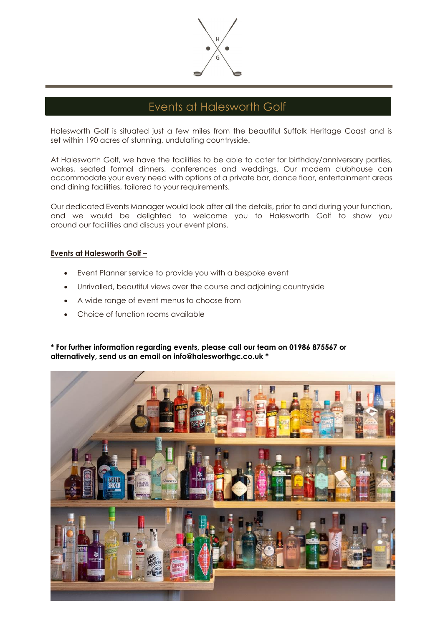

### Events at Halesworth Golf

Halesworth Golf is situated just a few miles from the beautiful Suffolk Heritage Coast and is set within 190 acres of stunning, undulating countryside.

At Halesworth Golf, we have the facilities to be able to cater for birthday/anniversary parties, wakes, seated formal dinners, conferences and weddings. Our modern clubhouse can accommodate your every need with options of a private bar, dance floor, entertainment areas and dining facilities, tailored to your requirements.

Our dedicated Events Manager would look after all the details, prior to and during your function, and we would be delighted to welcome you to Halesworth Golf to show you around our facilities and discuss your event plans.

#### **Events at Halesworth Golf –**

- Event Planner service to provide you with a bespoke event
- Unrivalled, beautiful views over the course and adjoining countryside
- A wide range of event menus to choose from
- Choice of function rooms available

**\* For further information regarding events, please call our team on 01986 875567 or alternatively, send us an email on info@halesworthgc.co.uk \***

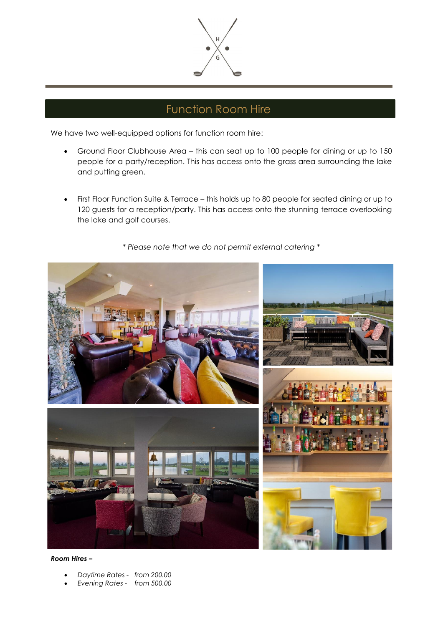

# Function Room Hire

We have two well-equipped options for function room hire:

- Ground Floor Clubhouse Area this can seat up to 100 people for dining or up to 150 people for a party/reception. This has access onto the grass area surrounding the lake and putting green.
- First Floor Function Suite & Terrace this holds up to 80 people for seated dining or up to 120 guests for a reception/party. This has access onto the stunning terrace overlooking the lake and golf courses.

*\* Please note that we do not permit external catering \**



*Room Hires –*

- *Daytime Rates from 200.00*
- *Evening Rates from 500.00*